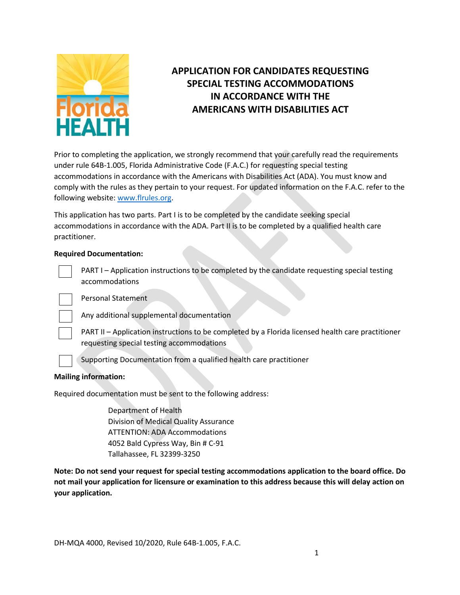

# **APPLICATION FOR CANDIDATES REQUESTING SPECIAL TESTING ACCOMMODATIONS IN ACCORDANCE WITH THE AMERICANS WITH DISABILITIES ACT**

Prior to completing the application, we strongly recommend that your carefully read the requirements under rule 64B-1.005, Florida Administrative Code (F.A.C.) for requesting special testing accommodations in accordance with the Americans with Disabilities Act (ADA). You must know and comply with the rules as they pertain to your request. For updated information on the F.A.C. refer to the following website: [www.flrules.org.](http://www.flrules.org/)

This application has two parts. Part I is to be completed by the candidate seeking special accommodations in accordance with the ADA. Part II is to be completed by a qualified health care practitioner.

### **Required Documentation:**



PART I – Application instructions to be completed by the candidate requesting special testing accommodations

Personal Statement



Any additional supplemental documentation

PART II – Application instructions to be completed by a Florida licensed health care practitioner requesting special testing accommodations

Supporting Documentation from a qualified health care practitioner

### **Mailing information:**

Required documentation must be sent to the following address:

Department of Health Division of Medical Quality Assurance ATTENTION: ADA Accommodations 4052 Bald Cypress Way, Bin # C-91 Tallahassee, FL 32399-3250

**Note: Do not send your request for special testing accommodations application to the board office. Do not mail your application for licensure or examination to this address because this will delay action on your application.**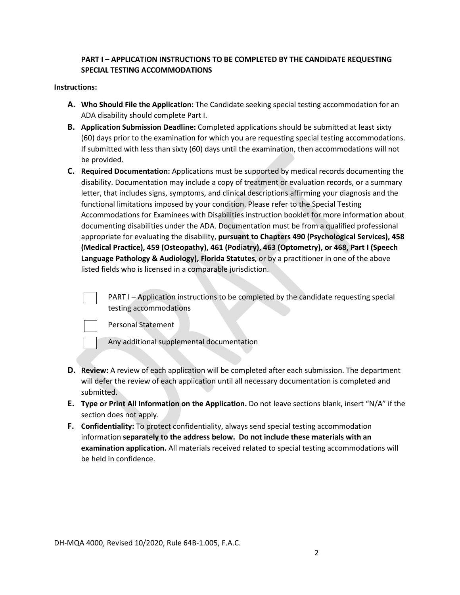## **PART I – APPLICATION INSTRUCTIONS TO BE COMPLETED BY THE CANDIDATE REQUESTING SPECIAL TESTING ACCOMMODATIONS**

### **Instructions:**

- **A. Who Should File the Application:** The Candidate seeking special testing accommodation for an ADA disability should complete Part I.
- **B. Application Submission Deadline:** Completed applications should be submitted at least sixty (60) days prior to the examination for which you are requesting special testing accommodations. If submitted with less than sixty (60) days until the examination, then accommodations will not be provided.
- **C. Required Documentation:** Applications must be supported by medical records documenting the disability. Documentation may include a copy of treatment or evaluation records, or a summary letter, that includes signs, symptoms, and clinical descriptions affirming your diagnosis and the functional limitations imposed by your condition. Please refer to the Special Testing Accommodations for Examinees with Disabilities instruction booklet for more information about documenting disabilities under the ADA. Documentation must be from a qualified professional appropriate for evaluating the disability, **pursuant to Chapters 490 (Psychological Services), 458 (Medical Practice), 459 (Osteopathy), 461 (Podiatry), 463 (Optometry), or 468, Part I (Speech Language Pathology & Audiology), Florida Statutes**, or by a practitioner in one of the above listed fields who is licensed in a comparable jurisdiction.

PART I – Application instructions to be completed by the candidate requesting special testing accommodations

Personal Statement

Any additional supplemental documentation

- **D. Review:** A review of each application will be completed after each submission. The department will defer the review of each application until all necessary documentation is completed and submitted.
- **E. Type or Print All Information on the Application.** Do not leave sections blank, insert "N/A" if the section does not apply.
- **F. Confidentiality:** To protect confidentiality, always send special testing accommodation information **separately to the address below. Do not include these materials with an examination application.** All materials received related to special testing accommodations will be held in confidence.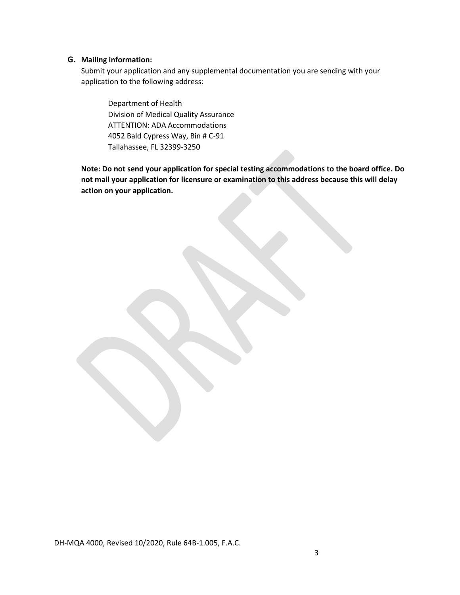### **G. Mailing information:**

Submit your application and any supplemental documentation you are sending with your application to the following address:

Department of Health Division of Medical Quality Assurance ATTENTION: ADA Accommodations 4052 Bald Cypress Way, Bin # C-91 Tallahassee, FL 32399-3250

**Note: Do not send your application for special testing accommodations to the board office. Do not mail your application for licensure or examination to this address because this will delay action on your application.**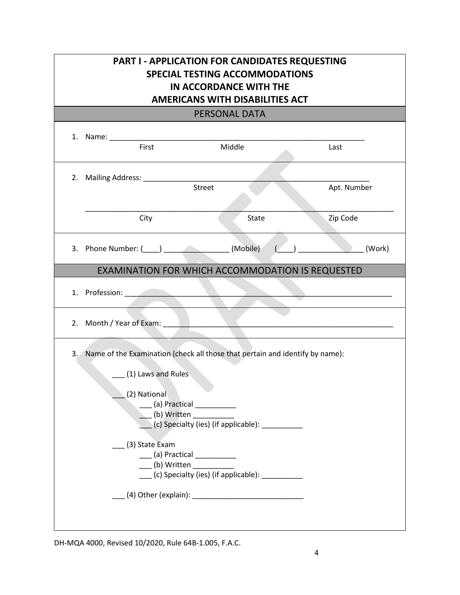|                                                                                                                                                                                                          | PART I - APPLICATION FOR CANDIDATES REQUESTING<br><b>SPECIAL TESTING ACCOMMODATIONS</b><br>IN ACCORDANCE WITH THE<br><b>AMERICANS WITH DISABILITIES ACT</b> |                         |
|----------------------------------------------------------------------------------------------------------------------------------------------------------------------------------------------------------|-------------------------------------------------------------------------------------------------------------------------------------------------------------|-------------------------|
|                                                                                                                                                                                                          | <b>PERSONAL DATA</b>                                                                                                                                        |                         |
| 1. Name: __________<br>First                                                                                                                                                                             | Middle                                                                                                                                                      | Last                    |
| City                                                                                                                                                                                                     | Street<br><b>State</b>                                                                                                                                      | Apt. Number<br>Zip Code |
| 3. Phone Number: $(\_\_\_)$ (Mobile) $(\_)$                                                                                                                                                              |                                                                                                                                                             | (Work)                  |
|                                                                                                                                                                                                          | EXAMINATION FOR WHICH ACCOMMODATION IS REQUESTED                                                                                                            |                         |
| 1. Profession: 2008 and 2008 and 2008 and 2008 and 2008 and 2008 and 2008 and 2008 and 2008 and 2008 and 2008                                                                                            |                                                                                                                                                             |                         |
| 2. Month / Year of Exam: 2008 and 2008 and 2008 and 2008 and 2008 and 2008 and 2008 and 2008 and 2008 and 2008                                                                                           |                                                                                                                                                             |                         |
| 3. Name of the Examination (check all those that pertain and identify by name):<br>(1) Laws and Rules<br>(2) National<br>(b) Written<br>(3) State Exam<br>____ (a) Practical ____________<br>(b) Written | (c) Specialty (ies) (if applicable): ___________<br>(c) Specialty (ies) (if applicable): __________                                                         |                         |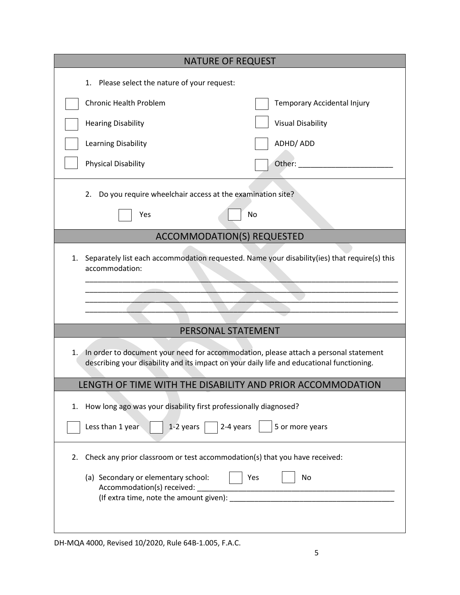| <b>NATURE OF REQUEST</b>                                                                                                                                                                |                             |
|-----------------------------------------------------------------------------------------------------------------------------------------------------------------------------------------|-----------------------------|
| 1. Please select the nature of your request:                                                                                                                                            |                             |
| <b>Chronic Health Problem</b>                                                                                                                                                           | Temporary Accidental Injury |
| <b>Hearing Disability</b>                                                                                                                                                               | <b>Visual Disability</b>    |
| Learning Disability                                                                                                                                                                     | ADHD/ADD                    |
| <b>Physical Disability</b>                                                                                                                                                              | Other:                      |
| 2. Do you require wheelchair access at the examination site?                                                                                                                            |                             |
| Yes                                                                                                                                                                                     | No                          |
|                                                                                                                                                                                         |                             |
| <b>ACCOMMODATION(S) REQUESTED</b>                                                                                                                                                       |                             |
| Separately list each accommodation requested. Name your disability(ies) that require(s) this<br>1.<br>accommodation:                                                                    |                             |
|                                                                                                                                                                                         |                             |
| PERSONAL STATEMENT                                                                                                                                                                      |                             |
| In order to document your need for accommodation, please attach a personal statement<br>1.<br>describing your disability and its impact on your daily life and educational functioning. |                             |
| LENGTH OF TIME WITH THE DISABILITY AND PRIOR ACCOMMODATION                                                                                                                              |                             |
| How long ago was your disability first professionally diagnosed?<br>1.                                                                                                                  |                             |
| Less than 1 year<br>1-2 years<br>2-4 years                                                                                                                                              | 5 or more years             |
| Check any prior classroom or test accommodation(s) that you have received:<br>2.                                                                                                        |                             |
| (a) Secondary or elementary school:<br>Accommodation(s) received:                                                                                                                       | Yes<br>No                   |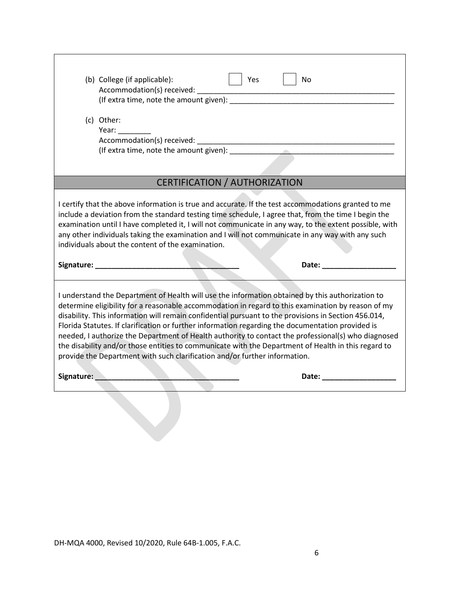| (b) College (if applicable):                                                                                                                                                                                                                                                                                                                                                                                                                                                                                                                                                                                                                                                                                    |
|-----------------------------------------------------------------------------------------------------------------------------------------------------------------------------------------------------------------------------------------------------------------------------------------------------------------------------------------------------------------------------------------------------------------------------------------------------------------------------------------------------------------------------------------------------------------------------------------------------------------------------------------------------------------------------------------------------------------|
|                                                                                                                                                                                                                                                                                                                                                                                                                                                                                                                                                                                                                                                                                                                 |
|                                                                                                                                                                                                                                                                                                                                                                                                                                                                                                                                                                                                                                                                                                                 |
| (c) Other:                                                                                                                                                                                                                                                                                                                                                                                                                                                                                                                                                                                                                                                                                                      |
| Year: __________                                                                                                                                                                                                                                                                                                                                                                                                                                                                                                                                                                                                                                                                                                |
|                                                                                                                                                                                                                                                                                                                                                                                                                                                                                                                                                                                                                                                                                                                 |
|                                                                                                                                                                                                                                                                                                                                                                                                                                                                                                                                                                                                                                                                                                                 |
|                                                                                                                                                                                                                                                                                                                                                                                                                                                                                                                                                                                                                                                                                                                 |
| CERTIFICATION / AUTHORIZATION                                                                                                                                                                                                                                                                                                                                                                                                                                                                                                                                                                                                                                                                                   |
| any other individuals taking the examination and I will not communicate in any way with any such<br>individuals about the content of the examination.<br>Date: <u>Date: Expansion of the Second State Second</u> State State State State State State State State State State State State State State State State State State State State State State State State State State State State Sta                                                                                                                                                                                                                                                                                                                    |
|                                                                                                                                                                                                                                                                                                                                                                                                                                                                                                                                                                                                                                                                                                                 |
| I understand the Department of Health will use the information obtained by this authorization to<br>determine eligibility for a reasonable accommodation in regard to this examination by reason of my<br>disability. This information will remain confidential pursuant to the provisions in Section 456.014,<br>Florida Statutes. If clarification or further information regarding the documentation provided is<br>needed, I authorize the Department of Health authority to contact the professional(s) who diagnosed<br>the disability and/or those entities to communicate with the Department of Health in this regard to<br>provide the Department with such clarification and/or further information. |
| Signature: <u>Communications</u><br>Date: __________________                                                                                                                                                                                                                                                                                                                                                                                                                                                                                                                                                                                                                                                    |
|                                                                                                                                                                                                                                                                                                                                                                                                                                                                                                                                                                                                                                                                                                                 |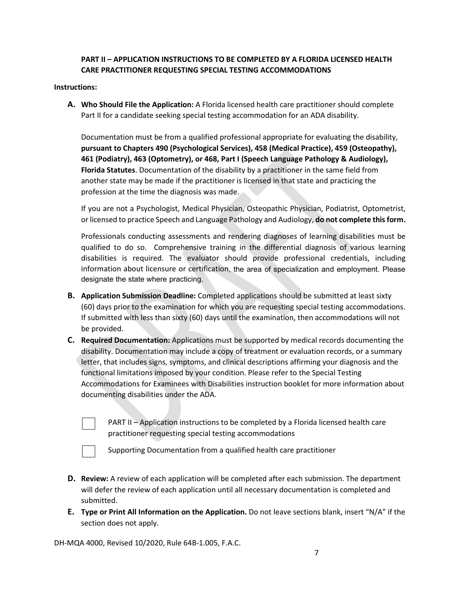## **PART II – APPLICATION INSTRUCTIONS TO BE COMPLETED BY A FLORIDA LICENSED HEALTH CARE PRACTITIONER REQUESTING SPECIAL TESTING ACCOMMODATIONS**

#### **Instructions:**

**A. Who Should File the Application:** A Florida licensed health care practitioner should complete Part II for a candidate seeking special testing accommodation for an ADA disability.

Documentation must be from a qualified professional appropriate for evaluating the disability, **pursuant to Chapters 490 (Psychological Services), 458 (Medical Practice), 459 (Osteopathy), 461 (Podiatry), 463 (Optometry), or 468, Part I (Speech Language Pathology & Audiology), Florida Statutes**. Documentation of the disability by a practitioner in the same field from another state may be made if the practitioner is licensed in that state and practicing the profession at the time the diagnosis was made.

If you are not a Psychologist, Medical Physician, Osteopathic Physician, Podiatrist, Optometrist, or licensed to practice Speech and Language Pathology and Audiology, **do not complete this form.**

Professionals conducting assessments and rendering diagnoses of learning disabilities must be qualified to do so. Comprehensive training in the differential diagnosis of various learning disabilities is required. The evaluator should provide professional credentials, including information about licensure or certification, the area of specialization and employment. Please designate the state where practicing.

- **B. Application Submission Deadline:** Completed applications should be submitted at least sixty (60) days prior to the examination for which you are requesting special testing accommodations. If submitted with less than sixty (60) days until the examination, then accommodations will not be provided.
- **C. Required Documentation:** Applications must be supported by medical records documenting the disability. Documentation may include a copy of treatment or evaluation records, or a summary letter, that includes signs, symptoms, and clinical descriptions affirming your diagnosis and the functional limitations imposed by your condition. Please refer to the Special Testing Accommodations for Examinees with Disabilities instruction booklet for more information about documenting disabilities under the ADA.
	- PART II Application instructions to be completed by a Florida licensed health care practitioner requesting special testing accommodations

Supporting Documentation from a qualified health care practitioner

- **D. Review:** A review of each application will be completed after each submission. The department will defer the review of each application until all necessary documentation is completed and submitted.
- **E. Type or Print All Information on the Application.** Do not leave sections blank, insert "N/A" if the section does not apply.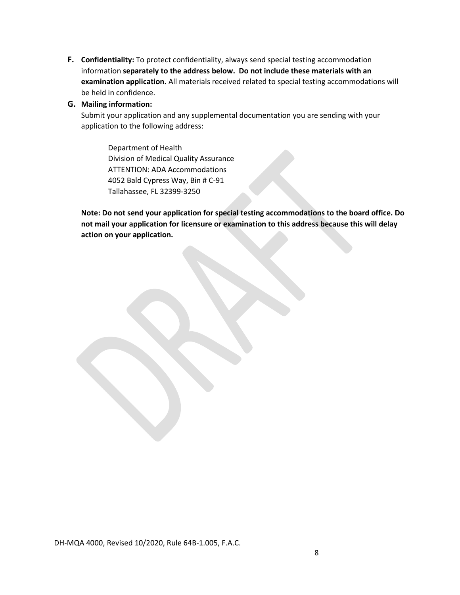**F. Confidentiality:** To protect confidentiality, always send special testing accommodation information **separately to the address below. Do not include these materials with an examination application.** All materials received related to special testing accommodations will be held in confidence.

## **G. Mailing information:**

Submit your application and any supplemental documentation you are sending with your application to the following address:

Department of Health Division of Medical Quality Assurance ATTENTION: ADA Accommodations 4052 Bald Cypress Way, Bin # C-91 Tallahassee, FL 32399-3250

**Note: Do not send your application for special testing accommodations to the board office. Do not mail your application for licensure or examination to this address because this will delay action on your application.**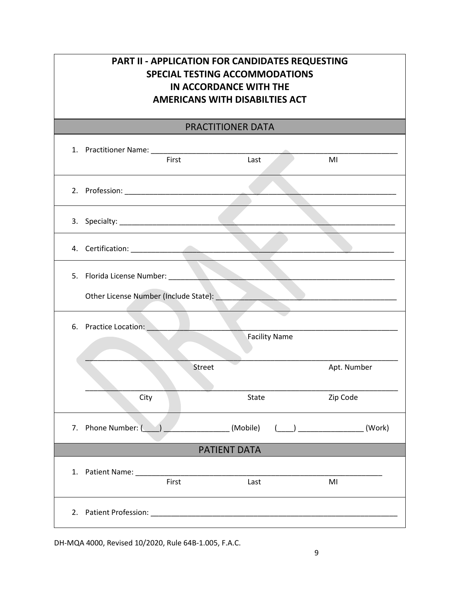## **PART II - APPLICATION FOR CANDIDATES REQUESTING SPECIAL TESTING ACCOMMODATIONS IN ACCORDANCE WITH THE AMERICANS WITH DISABILTIES ACT**

## PRACTITIONER DATA

|                     | First                                                                                                                                                                                                                          | Last   |                      | MI          |
|---------------------|--------------------------------------------------------------------------------------------------------------------------------------------------------------------------------------------------------------------------------|--------|----------------------|-------------|
|                     |                                                                                                                                                                                                                                |        |                      |             |
|                     |                                                                                                                                                                                                                                |        |                      |             |
|                     |                                                                                                                                                                                                                                |        |                      |             |
|                     |                                                                                                                                                                                                                                |        |                      |             |
|                     | Other License Number (Include State): National Action of the Contract of the Contract of the Contract of the Contract of the Contract of the Contract of the Contract of the Contract of the Contract of the Contract of the C |        |                      |             |
|                     | 6. Practice Location:                                                                                                                                                                                                          |        | <b>Facility Name</b> |             |
|                     |                                                                                                                                                                                                                                | Street |                      | Apt. Number |
|                     | City                                                                                                                                                                                                                           | State  |                      | Zip Code    |
|                     | 7. Phone Number: ( ) _____________________(Mobile) ( ___) _______________(Work)                                                                                                                                                |        |                      |             |
| <b>PATIENT DATA</b> |                                                                                                                                                                                                                                |        |                      |             |
|                     | 1. Patient Name:<br>First                                                                                                                                                                                                      | Last   |                      | MI          |
| 2.                  | Patient Profession: National Profession:                                                                                                                                                                                       |        |                      |             |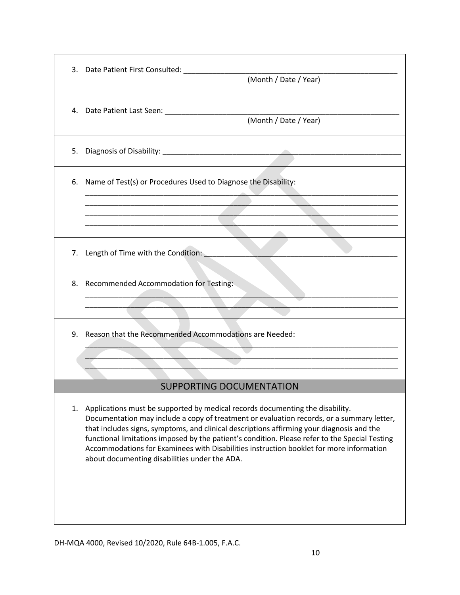| (Month / Date / Year)                                                                                                                                                                                                                                                                                                                                                                                                                                                                                                    |
|--------------------------------------------------------------------------------------------------------------------------------------------------------------------------------------------------------------------------------------------------------------------------------------------------------------------------------------------------------------------------------------------------------------------------------------------------------------------------------------------------------------------------|
|                                                                                                                                                                                                                                                                                                                                                                                                                                                                                                                          |
|                                                                                                                                                                                                                                                                                                                                                                                                                                                                                                                          |
| 6. Name of Test(s) or Procedures Used to Diagnose the Disability:                                                                                                                                                                                                                                                                                                                                                                                                                                                        |
|                                                                                                                                                                                                                                                                                                                                                                                                                                                                                                                          |
| 7. Length of Time with the Condition:                                                                                                                                                                                                                                                                                                                                                                                                                                                                                    |
| 8. Recommended Accommodation for Testing:                                                                                                                                                                                                                                                                                                                                                                                                                                                                                |
| 9. Reason that the Recommended Accommodations are Needed:                                                                                                                                                                                                                                                                                                                                                                                                                                                                |
|                                                                                                                                                                                                                                                                                                                                                                                                                                                                                                                          |
| <b>SUPPORTING DOCUMENTATION</b>                                                                                                                                                                                                                                                                                                                                                                                                                                                                                          |
| 1. Applications must be supported by medical records documenting the disability.<br>Documentation may include a copy of treatment or evaluation records, or a summary letter,<br>that includes signs, symptoms, and clinical descriptions affirming your diagnosis and the<br>functional limitations imposed by the patient's condition. Please refer to the Special Testing<br>Accommodations for Examinees with Disabilities instruction booklet for more information<br>about documenting disabilities under the ADA. |